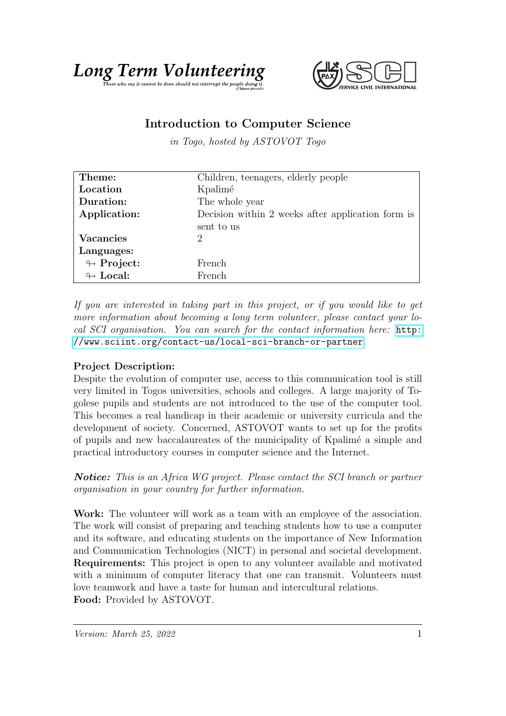



## Introduction to Computer Science

in Togo, hosted by ASTOVOT Togo

| Theme:                     | Children, teenagers, elderly people               |
|----------------------------|---------------------------------------------------|
| Location                   | Kpalimé                                           |
| Duration:                  | The whole year                                    |
| Application:               | Decision within 2 weeks after application form is |
|                            | sent to us                                        |
| Vacancies                  | $\mathcal{D}$                                     |
| Languages:                 |                                                   |
| $\leftrightarrow$ Project: | French.                                           |
| $\leftrightarrow$ Local:   | French                                            |

If you are interested in taking part in this project, or if you would like to get more information about becoming a long term volunteer, please contact your local SCI organisation. You can search for the contact information here: [http:](http://www.sciint.org/contact-us/local-sci-branch-or-partner) [//www.sciint.org/contact-us/local-sci-branch-or-partner](http://www.sciint.org/contact-us/local-sci-branch-or-partner)

## Project Description:

Despite the evolution of computer use, access to this communication tool is still very limited in Togos universities, schools and colleges. A large majority of Togolese pupils and students are not introduced to the use of the computer tool. This becomes a real handicap in their academic or university curricula and the development of society. Concerned, ASTOVOT wants to set up for the profits of pupils and new baccalaureates of the municipality of Kpalim´e a simple and practical introductory courses in computer science and the Internet.

**Notice:** This is an Africa WG project. Please contact the SCI branch or partner organisation in your country for further information.

Work: The volunteer will work as a team with an employee of the association. The work will consist of preparing and teaching students how to use a computer and its software, and educating students on the importance of New Information and Communication Technologies (NICT) in personal and societal development. Requirements: This project is open to any volunteer available and motivated with a minimum of computer literacy that one can transmit. Volunteers must love teamwork and have a taste for human and intercultural relations. Food: Provided by ASTOVOT.